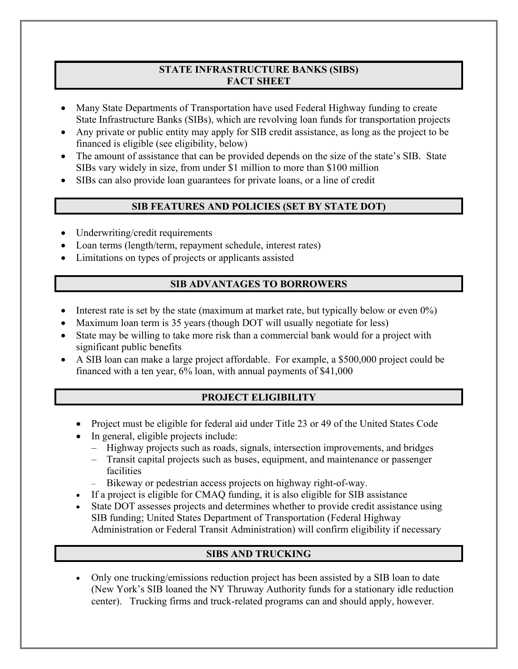#### **STATE INFRASTRUCTURE BANKS (SIBS) FACT SHEET**

- Many State Departments of Transportation have used Federal Highway funding to create State Infrastructure Banks (SIBs), which are revolving loan funds for transportation projects
- Any private or public entity may apply for SIB credit assistance, as long as the project to be financed is eligible (see eligibility, below)
- The amount of assistance that can be provided depends on the size of the state's SIB. State SIBs vary widely in size, from under \$1 million to more than \$100 million
- SIBs can also provide loan guarantees for private loans, or a line of credit

## **SIB FEATURES AND POLICIES (SET BY STATE DOT)**

- Underwriting/credit requirements
- Loan terms (length/term, repayment schedule, interest rates)
- Limitations on types of projects or applicants assisted

#### **SIB ADVANTAGES TO BORROWERS**

- Interest rate is set by the state (maximum at market rate, but typically below or even 0%)
- Maximum loan term is 35 years (though DOT will usually negotiate for less)
- State may be willing to take more risk than a commercial bank would for a project with significant public benefits
- A SIB loan can make a large project affordable. For example, a \$500,000 project could be financed with a ten year, 6% loan, with annual payments of \$41,000

## **PROJECT ELIGIBILITY**

- Project must be eligible for federal aid under Title 23 or 49 of the United States Code
- In general, eligible projects include:
	- Highway projects such as roads, signals, intersection improvements, and bridges
	- Transit capital projects such as buses, equipment, and maintenance or passenger facilities
	- Bikeway or pedestrian access projects on highway right-of-way.
- If a project is eligible for CMAQ funding, it is also eligible for SIB assistance
- State DOT assesses projects and determines whether to provide credit assistance using SIB funding; United States Department of Transportation (Federal Highway Administration or Federal Transit Administration) will confirm eligibility if necessary

# **SIBS AND TRUCKING**

• Only one trucking/emissions reduction project has been assisted by a SIB loan to date (New York's SIB loaned the NY Thruway Authority funds for a stationary idle reduction center). Trucking firms and truck-related programs can and should apply, however.